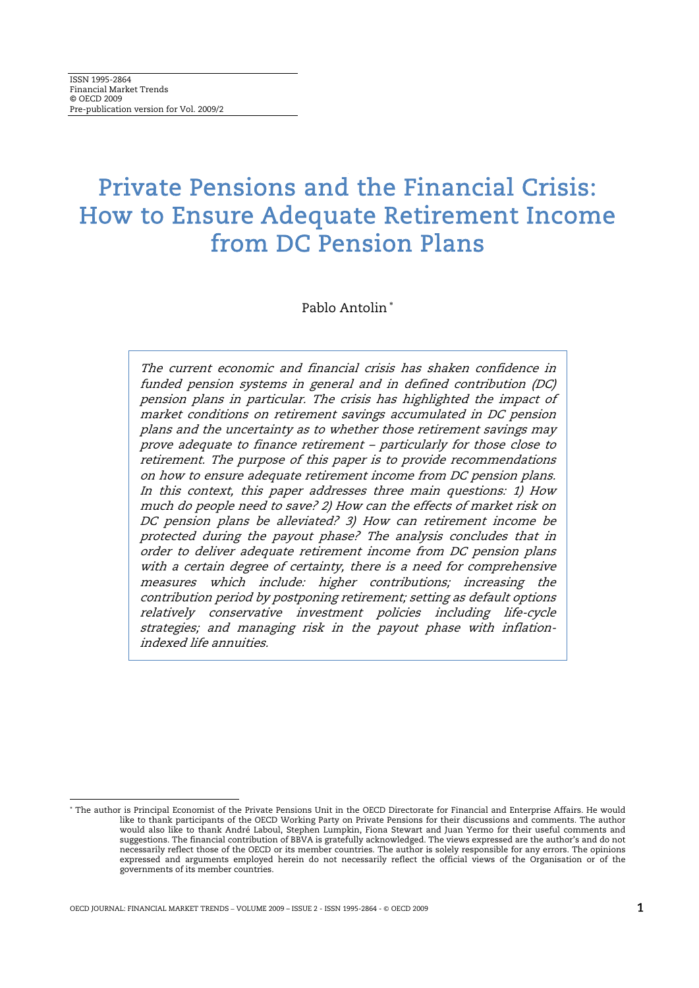# Private Pensions and the Financial Crisis: How to Ensure Adequate Retirement Income from DC Pension Plans

Pablo Antolin<sup>∗</sup>

The current economic and financial crisis has shaken confidence in funded pension systems in general and in defined contribution (DC) pension plans in particular. The crisis has highlighted the impact of market conditions on retirement savings accumulated in DC pension plans and the uncertainty as to whether those retirement savings may prove adequate to finance retirement – particularly for those close to retirement. The purpose of this paper is to provide recommendations on how to ensure adequate retirement income from DC pension plans. In this context, this paper addresses three main questions: 1) How much do people need to save? 2) How can the effects of market risk on DC pension plans be alleviated? 3) How can retirement income be protected during the payout phase? The analysis concludes that in order to deliver adequate retirement income from DC pension plans with a certain degree of certainty, there is a need for comprehensive measures which include: higher contributions; increasing the contribution period by postponing retirement; setting as default options relatively conservative investment policies including life-cycle strategies; and managing risk in the payout phase with inflationindexed life annuities.

1

<sup>∗</sup> The author is Principal Economist of the Private Pensions Unit in the OECD Directorate for Financial and Enterprise Affairs. He would like to thank participants of the OECD Working Party on Private Pensions for their discussions and comments. The author would also like to thank André Laboul, Stephen Lumpkin, Fiona Stewart and Juan Yermo for their useful comments and suggestions. The financial contribution of BBVA is gratefully acknowledged. The views expressed are the author's and do not necessarily reflect those of the OECD or its member countries. The author is solely responsible for any errors. The opinions expressed and arguments employed herein do not necessarily reflect the official views of the Organisation or of the governments of its member countries.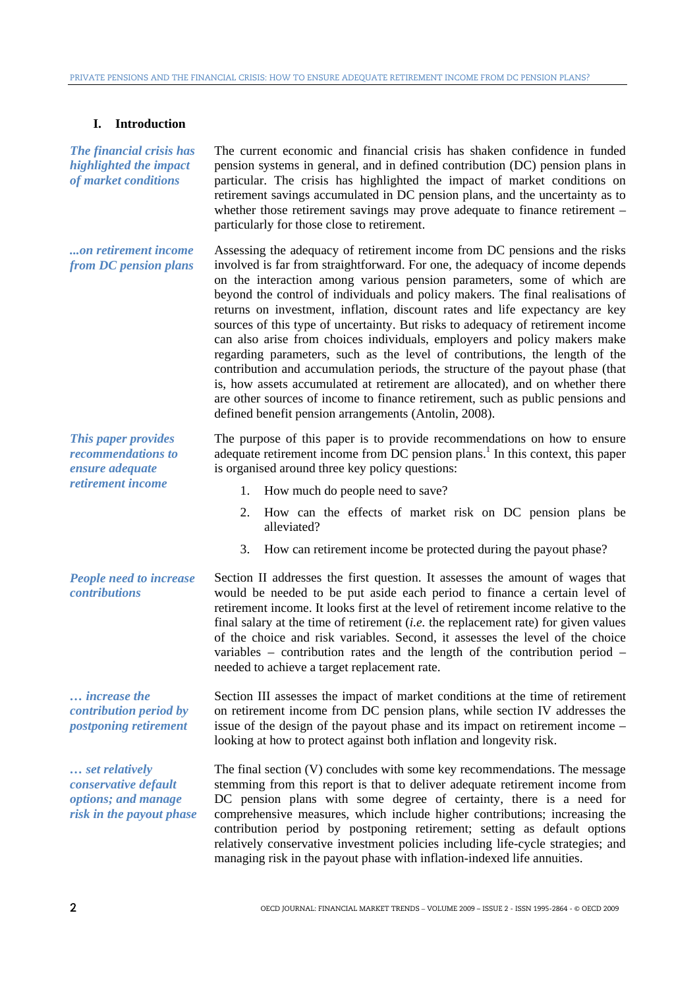# **I. Introduction**

*The financial crisis has highlighted the impact of market conditions* 

The current economic and financial crisis has shaken confidence in funded pension systems in general, and in defined contribution (DC) pension plans in particular. The crisis has highlighted the impact of market conditions on retirement savings accumulated in DC pension plans, and the uncertainty as to whether those retirement savings may prove adequate to finance retirement – particularly for those close to retirement.

*...on retirement income from DC pension plans*  Assessing the adequacy of retirement income from DC pensions and the risks involved is far from straightforward. For one, the adequacy of income depends on the interaction among various pension parameters, some of which are beyond the control of individuals and policy makers. The final realisations of returns on investment, inflation, discount rates and life expectancy are key sources of this type of uncertainty. But risks to adequacy of retirement income can also arise from choices individuals, employers and policy makers make regarding parameters, such as the level of contributions, the length of the contribution and accumulation periods, the structure of the payout phase (that is, how assets accumulated at retirement are allocated), and on whether there are other sources of income to finance retirement, such as public pensions and defined benefit pension arrangements (Antolin, 2008).

*This paper provides recommendations to ensure adequate retirement income* 

*People need to increase contributions* 

*… increase the contribution period by postponing retirement* 

*… set relatively conservative default options; and manage risk in the payout phase*  The purpose of this paper is to provide recommendations on how to ensure adequate retirement income from DC pension plans.<sup>1</sup> In this context, this paper is organised around three key policy questions:

- 1. How much do people need to save?
- 2. How can the effects of market risk on DC pension plans be alleviated?
- 3. How can retirement income be protected during the payout phase?

Section II addresses the first question. It assesses the amount of wages that would be needed to be put aside each period to finance a certain level of retirement income. It looks first at the level of retirement income relative to the final salary at the time of retirement (*i.e.* the replacement rate) for given values of the choice and risk variables. Second, it assesses the level of the choice variables – contribution rates and the length of the contribution period – needed to achieve a target replacement rate.

Section III assesses the impact of market conditions at the time of retirement on retirement income from DC pension plans, while section IV addresses the issue of the design of the payout phase and its impact on retirement income – looking at how to protect against both inflation and longevity risk.

The final section (V) concludes with some key recommendations. The message stemming from this report is that to deliver adequate retirement income from DC pension plans with some degree of certainty, there is a need for comprehensive measures, which include higher contributions; increasing the contribution period by postponing retirement; setting as default options relatively conservative investment policies including life-cycle strategies; and managing risk in the payout phase with inflation-indexed life annuities.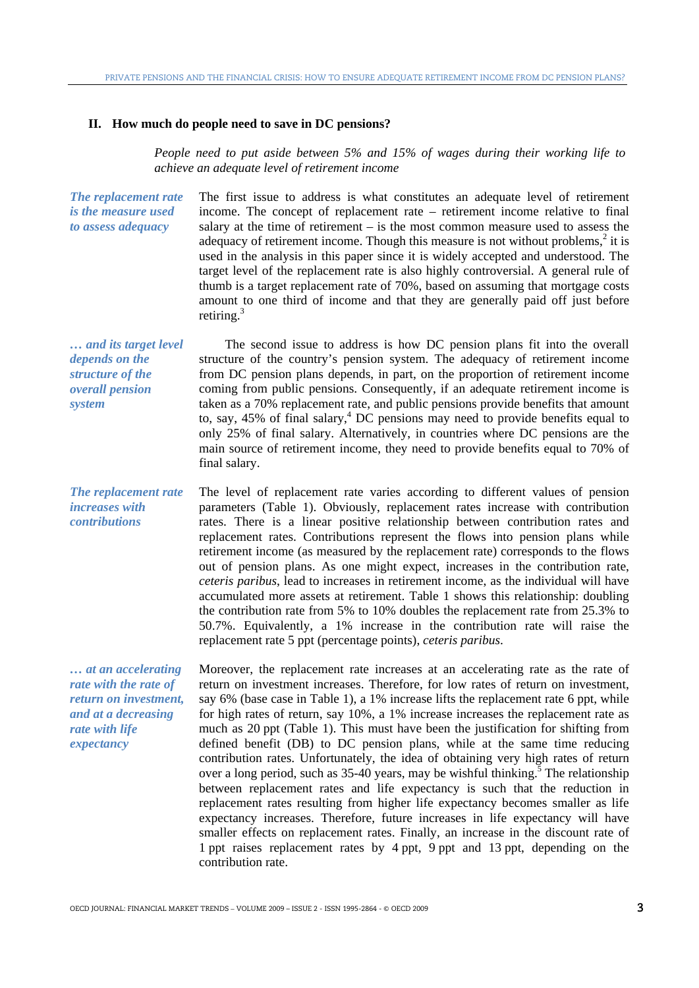#### **II. How much do people need to save in DC pensions?**

*People need to put aside between 5% and 15% of wages during their working life to achieve an adequate level of retirement income*

*The replacement rate is the measure used to assess adequacy*  The first issue to address is what constitutes an adequate level of retirement income. The concept of replacement rate – retirement income relative to final salary at the time of retirement – is the most common measure used to assess the adequacy of retirement income. Though this measure is not without problems, $2$  it is used in the analysis in this paper since it is widely accepted and understood. The target level of the replacement rate is also highly controversial. A general rule of thumb is a target replacement rate of 70%, based on assuming that mortgage costs amount to one third of income and that they are generally paid off just before retiring. $3$ 

*… and its target level depends on the structure of the overall pension system*  The second issue to address is how DC pension plans fit into the overall structure of the country's pension system. The adequacy of retirement income from DC pension plans depends, in part, on the proportion of retirement income coming from public pensions. Consequently, if an adequate retirement income is taken as a 70% replacement rate, and public pensions provide benefits that amount to, say, 45% of final salary,<sup>4</sup> DC pensions may need to provide benefits equal to only 25% of final salary. Alternatively, in countries where DC pensions are the main source of retirement income, they need to provide benefits equal to 70% of final salary.

*The replacement rate increases with contributions*  The level of replacement rate varies according to different values of pension parameters (Table 1). Obviously, replacement rates increase with contribution rates. There is a linear positive relationship between contribution rates and replacement rates. Contributions represent the flows into pension plans while retirement income (as measured by the replacement rate) corresponds to the flows out of pension plans. As one might expect, increases in the contribution rate, *ceteris paribus*, lead to increases in retirement income, as the individual will have accumulated more assets at retirement. Table 1 shows this relationship: doubling the contribution rate from 5% to 10% doubles the replacement rate from 25.3% to 50.7%. Equivalently, a 1% increase in the contribution rate will raise the replacement rate 5 ppt (percentage points), *ceteris paribus*.

*… at an accelerating rate with the rate of return on investment, and at a decreasing rate with life expectancy* 

Moreover, the replacement rate increases at an accelerating rate as the rate of return on investment increases. Therefore, for low rates of return on investment, say 6% (base case in Table 1), a 1% increase lifts the replacement rate 6 ppt, while for high rates of return, say 10%, a 1% increase increases the replacement rate as much as 20 ppt (Table 1). This must have been the justification for shifting from defined benefit (DB) to DC pension plans, while at the same time reducing contribution rates. Unfortunately, the idea of obtaining very high rates of return over a long period, such as  $35-40$  years, may be wishful thinking.<sup>5</sup> The relationship between replacement rates and life expectancy is such that the reduction in replacement rates resulting from higher life expectancy becomes smaller as life expectancy increases. Therefore, future increases in life expectancy will have smaller effects on replacement rates. Finally, an increase in the discount rate of 1 ppt raises replacement rates by 4 ppt, 9 ppt and 13 ppt, depending on the contribution rate.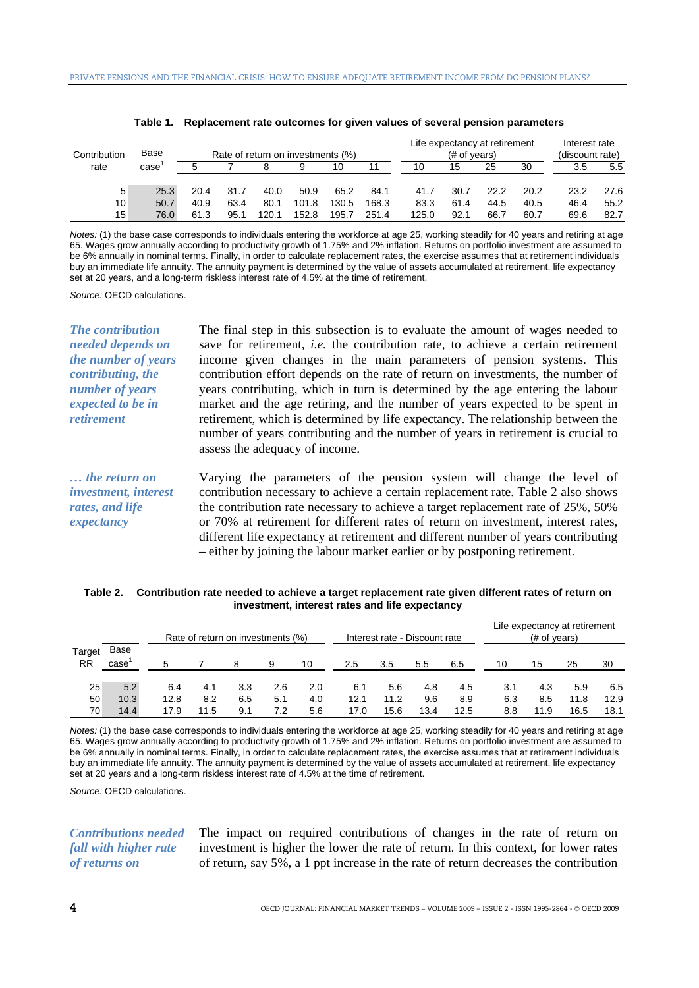| Contribution | Base | Rate of return on investments (%) |      |       |       |       | Life expectancy at retirement<br>$#$ of years) |       |      |      | Interest rate<br>(discount rate) |      |      |
|--------------|------|-----------------------------------|------|-------|-------|-------|------------------------------------------------|-------|------|------|----------------------------------|------|------|
| rate         | case |                                   |      |       |       | 10    |                                                | 10    | 15   | 25   | 30                               | 3.5  | 5.5  |
| 5            | 25.3 | 20.4                              | 31.7 | 40.0  | 50.9  | 65.2  | 84.1                                           | 41.7  | 30.7 | 22.2 | 20.2                             | 23.2 | 27.6 |
| 10           | 50.7 | 40.9                              | 63.4 | 80.1  | 101.8 | 130.5 | 168.3                                          | 83.3  | 61.4 | 44.5 | 40.5                             | 46.4 | 55.2 |
| 15           | 76.0 | 61.3                              | 95.1 | 120.1 | 152.8 | 195.7 | 251.4                                          | 125.0 | 92.1 | 66.7 | 60.7                             | 69.6 | 82.7 |

| Table 1. Replacement rate outcomes for given values of several pension parameters |  |  |
|-----------------------------------------------------------------------------------|--|--|
|                                                                                   |  |  |

*Notes:* (1) the base case corresponds to individuals entering the workforce at age 25, working steadily for 40 years and retiring at age 65. Wages grow annually according to productivity growth of 1.75% and 2% inflation. Returns on portfolio investment are assumed to be 6% annually in nominal terms. Finally, in order to calculate replacement rates, the exercise assumes that at retirement individuals buy an immediate life annuity. The annuity payment is determined by the value of assets accumulated at retirement, life expectancy set at 20 years, and a long-term riskless interest rate of 4.5% at the time of retirement.

*Source:* OECD calculations.

*retirement* 

*The contribution needed depends on the number of years contributing, the number of years expected to be in*  The final step in this subsection is to evaluate the amount of wages needed to save for retirement, *i.e.* the contribution rate, to achieve a certain retirement income given changes in the main parameters of pension systems. This contribution effort depends on the rate of return on investments, the number of years contributing, which in turn is determined by the age entering the labour market and the age retiring, and the number of years expected to be spent in retirement, which is determined by life expectancy. The relationship between the number of years contributing and the number of years in retirement is crucial to assess the adequacy of income.

*… the return on investment, interest rates, and life expectancy*  Varying the parameters of the pension system will change the level of contribution necessary to achieve a certain replacement rate. Table 2 also shows the contribution rate necessary to achieve a target replacement rate of 25%, 50% or 70% at retirement for different rates of return on investment, interest rates, different life expectancy at retirement and different number of years contributing – either by joining the labour market earlier or by postponing retirement.

#### **Table 2. Contribution rate needed to achieve a target replacement rate given different rates of return on investment, interest rates and life expectancy**

|                            |              |      |      | Rate of return on investments (%) |     |     |      |      | Interest rate - Discount rate |      |     | Life expectancy at retirement<br>$#$ of years) |      |      |
|----------------------------|--------------|------|------|-----------------------------------|-----|-----|------|------|-------------------------------|------|-----|------------------------------------------------|------|------|
| <b>Target</b><br><b>RR</b> | Base<br>case | 5    |      |                                   | 9   | 10  | 2.5  | 3.5  | 5.5                           | 6.5  | 10  | 15                                             | 25   | 30   |
| 25                         | 5.2          | 6.4  | 4.1  | 3.3                               | 2.6 | 2.0 | 6.1  | 5.6  | 4.8                           | 4.5  | 3.1 | 4.3                                            | 5.9  | 6.5  |
| 50                         | 10.3         | 12.8 | 8.2  | 6.5                               | 5.1 | 4.0 | 12.1 | 11.2 | 9.6                           | 8.9  | 6.3 | 8.5                                            | 11.8 | 12.9 |
| 70                         | 14.4         | 17.9 | 11.5 | 9.1                               | 7.2 | 5.6 | 17.0 | 15.6 | 13.4                          | 12.5 | 8.8 | 11.9                                           | 16.5 | 18.1 |

*Notes:* (1) the base case corresponds to individuals entering the workforce at age 25, working steadily for 40 years and retiring at age 65. Wages grow annually according to productivity growth of 1.75% and 2% inflation. Returns on portfolio investment are assumed to be 6% annually in nominal terms. Finally, in order to calculate replacement rates, the exercise assumes that at retirement individuals buy an immediate life annuity. The annuity payment is determined by the value of assets accumulated at retirement, life expectancy set at 20 years and a long-term riskless interest rate of 4.5% at the time of retirement.

*Source:* OECD calculations.

# *Contributions needed fall with higher rate of returns on*

The impact on required contributions of changes in the rate of return on investment is higher the lower the rate of return. In this context, for lower rates of return, say 5%, a 1 ppt increase in the rate of return decreases the contribution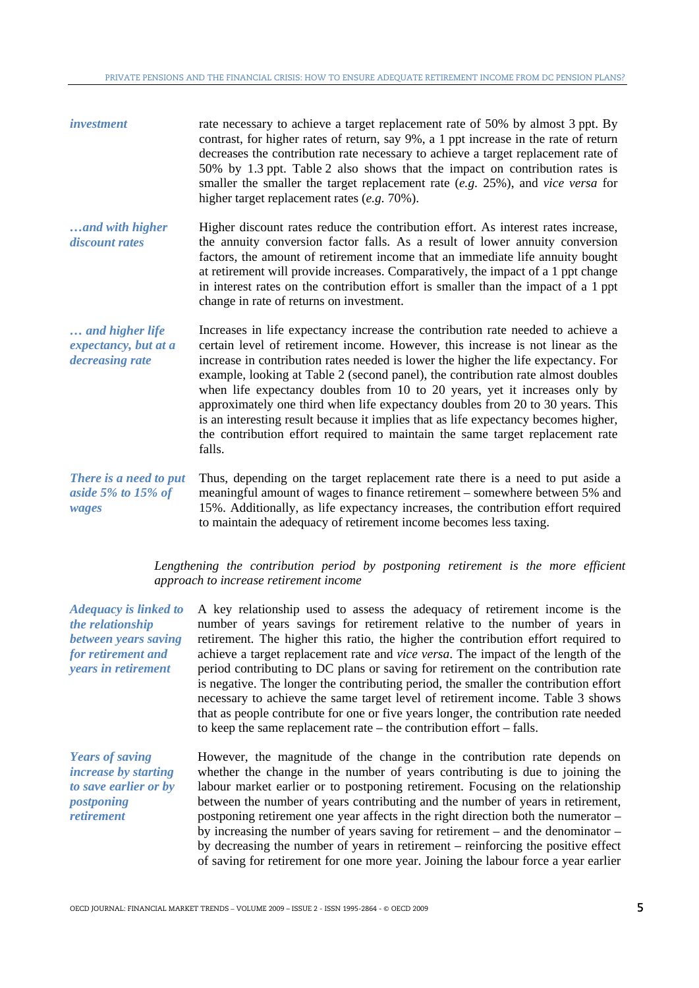| <i>investment</i> | rate necessary to achieve a target replacement rate of 50% by almost 3 ppt. By            |
|-------------------|-------------------------------------------------------------------------------------------|
|                   | contrast, for higher rates of return, say 9%, a 1 ppt increase in the rate of return      |
|                   | decreases the contribution rate necessary to achieve a target replacement rate of         |
|                   | 50% by 1.3 ppt. Table 2 also shows that the impact on contribution rates is               |
|                   | smaller the smaller the target replacement rate $(e.g. 25\%)$ , and <i>vice versa</i> for |
|                   | higher target replacement rates $(e.g. 70\%)$ .                                           |

*…and with higher discount rates*  Higher discount rates reduce the contribution effort. As interest rates increase, the annuity conversion factor falls. As a result of lower annuity conversion factors, the amount of retirement income that an immediate life annuity bought at retirement will provide increases. Comparatively, the impact of a 1 ppt change in interest rates on the contribution effort is smaller than the impact of a 1 ppt change in rate of returns on investment.

*… and higher life expectancy, but at a decreasing rate*  Increases in life expectancy increase the contribution rate needed to achieve a certain level of retirement income. However, this increase is not linear as the increase in contribution rates needed is lower the higher the life expectancy. For example, looking at Table 2 (second panel), the contribution rate almost doubles when life expectancy doubles from 10 to 20 years, yet it increases only by approximately one third when life expectancy doubles from 20 to 30 years. This is an interesting result because it implies that as life expectancy becomes higher, the contribution effort required to maintain the same target replacement rate falls.

*There is a need to put aside 5% to 15% of wages*  Thus, depending on the target replacement rate there is a need to put aside a meaningful amount of wages to finance retirement – somewhere between 5% and 15%. Additionally, as life expectancy increases, the contribution effort required to maintain the adequacy of retirement income becomes less taxing.

> Lengthening the contribution period by postponing retirement is the more efficient *approach to increase retirement income*

| <b>Adequacy is linked to</b><br>the relationship<br>between years saving<br>for retirement and<br>years in retirement | A key relationship used to assess the adequacy of retirement income is the<br>number of years savings for retirement relative to the number of years in<br>retirement. The higher this ratio, the higher the contribution effort required to<br>achieve a target replacement rate and <i>vice versa</i> . The impact of the length of the<br>period contributing to DC plans or saving for retirement on the contribution rate<br>is negative. The longer the contributing period, the smaller the contribution effort<br>necessary to achieve the same target level of retirement income. Table 3 shows<br>that as people contribute for one or five years longer, the contribution rate needed<br>to keep the same replacement rate $-$ the contribution effort $-$ falls. |
|-----------------------------------------------------------------------------------------------------------------------|------------------------------------------------------------------------------------------------------------------------------------------------------------------------------------------------------------------------------------------------------------------------------------------------------------------------------------------------------------------------------------------------------------------------------------------------------------------------------------------------------------------------------------------------------------------------------------------------------------------------------------------------------------------------------------------------------------------------------------------------------------------------------|
| <b>Years of saving</b><br><i>increase by starting</i><br>to save earlier or by<br>postponing<br><i>retirement</i>     | However, the magnitude of the change in the contribution rate depends on<br>whether the change in the number of years contributing is due to joining the<br>labour market earlier or to postponing retirement. Focusing on the relationship<br>between the number of years contributing and the number of years in retirement,<br>postponing retirement one year affects in the right direction both the numerator –<br>by increasing the number of years saving for retirement $-$ and the denominator $-$<br>by decreasing the number of years in retirement – reinforcing the positive effect<br>of saving for retirement for one more year. Joining the labour force a year earlier                                                                                      |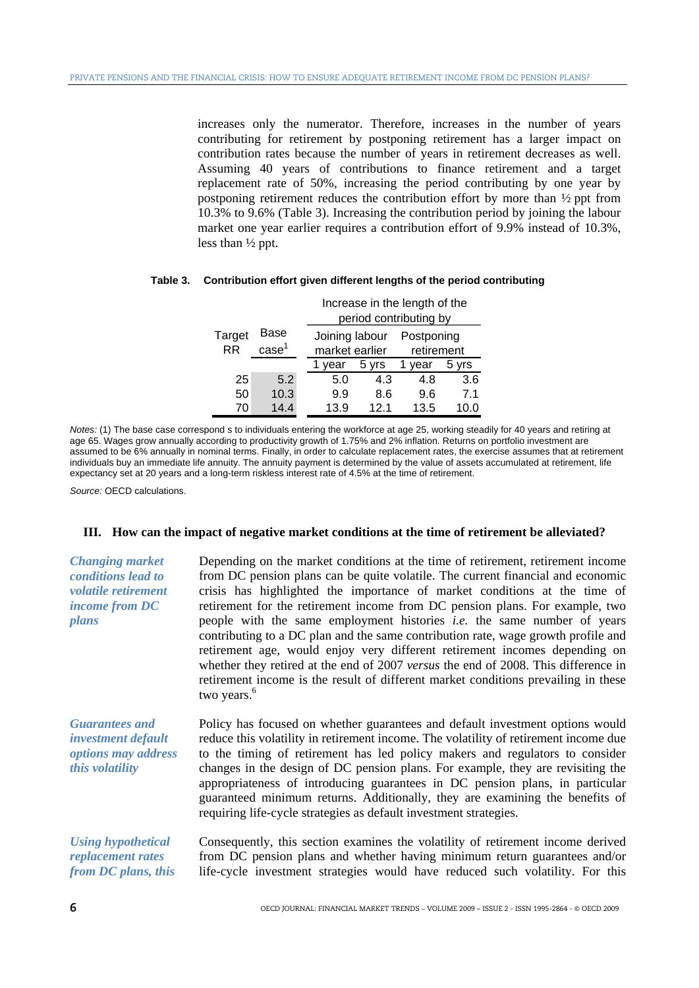increases only the numerator. Therefore, increases in the number of years contributing for retirement by postponing retirement has a larger impact on contribution rates because the number of years in retirement decreases as well. Assuming 40 years of contributions to finance retirement and a target replacement rate of 50%, increasing the period contributing by one year by postponing retirement reduces the contribution effort by more than ½ ppt from 10.3% to 9.6% (Table 3). Increasing the contribution period by joining the labour market one year earlier requires a contribution effort of 9.9% instead of 10.3%, less than ½ ppt.

|                     |                           | Increase in the length of the<br>period contributing by |       |                          |       |  |  |
|---------------------|---------------------------|---------------------------------------------------------|-------|--------------------------|-------|--|--|
| Target<br><b>RR</b> | Base<br>case <sup>1</sup> | Joining labour<br>market earlier                        |       | Postponing<br>retirement |       |  |  |
|                     |                           | vear                                                    | 5 vrs | vear                     | 5 yrs |  |  |
| 25                  | 5.2                       | 5.0                                                     | 4.3   | 4.8                      | 3.6   |  |  |
| 50                  | 10.3                      | 9.9                                                     | 8.6   | 9.6                      | 7.1   |  |  |
| 70                  | 144                       | 13.9                                                    | 12 1  | 13.5                     |       |  |  |

### **Table 3. Contribution effort given different lengths of the period contributing**

*Notes:* (1) The base case correspond s to individuals entering the workforce at age 25, working steadily for 40 years and retiring at age 65. Wages grow annually according to productivity growth of 1.75% and 2% inflation. Returns on portfolio investment are assumed to be 6% annually in nominal terms. Finally, in order to calculate replacement rates, the exercise assumes that at retirement individuals buy an immediate life annuity. The annuity payment is determined by the value of assets accumulated at retirement, life expectancy set at 20 years and a long-term riskless interest rate of 4.5% at the time of retirement.

*Source:* OECD calculations.

#### **III. How can the impact of negative market conditions at the time of retirement be alleviated?**

| <b>Changing market</b><br><i>conditions lead to</i><br><i>volatile retirement</i><br><i>income from DC</i><br>plans | Depending on the market conditions at the time of retirement, retirement income<br>from DC pension plans can be quite volatile. The current financial and economic<br>crisis has highlighted the importance of market conditions at the time of<br>retirement for the retirement income from DC pension plans. For example, two<br>people with the same employment histories <i>i.e.</i> the same number of years<br>contributing to a DC plan and the same contribution rate, wage growth profile and<br>retirement age, would enjoy very different retirement incomes depending on<br>whether they retired at the end of 2007 versus the end of 2008. This difference in<br>retirement income is the result of different market conditions prevailing in these<br>two years. <sup>6</sup> |
|---------------------------------------------------------------------------------------------------------------------|---------------------------------------------------------------------------------------------------------------------------------------------------------------------------------------------------------------------------------------------------------------------------------------------------------------------------------------------------------------------------------------------------------------------------------------------------------------------------------------------------------------------------------------------------------------------------------------------------------------------------------------------------------------------------------------------------------------------------------------------------------------------------------------------|
| <b>Guarantees and</b><br>investment default<br><i>options may address</i><br><i>this volatility</i>                 | Policy has focused on whether guarantees and default investment options would<br>reduce this volatility in retirement income. The volatility of retirement income due<br>to the timing of retirement has led policy makers and regulators to consider<br>changes in the design of DC pension plans. For example, they are revisiting the<br>appropriateness of introducing guarantees in DC pension plans, in particular<br>guaranteed minimum returns. Additionally, they are examining the benefits of<br>requiring life-cycle strategies as default investment strategies.                                                                                                                                                                                                               |
| <b>Using hypothetical</b><br>replacement rates<br>from DC plans, this                                               | Consequently, this section examines the volatility of retirement income derived<br>from DC pension plans and whether having minimum return guarantees and/or<br>life-cycle investment strategies would have reduced such volatility. For this                                                                                                                                                                                                                                                                                                                                                                                                                                                                                                                                               |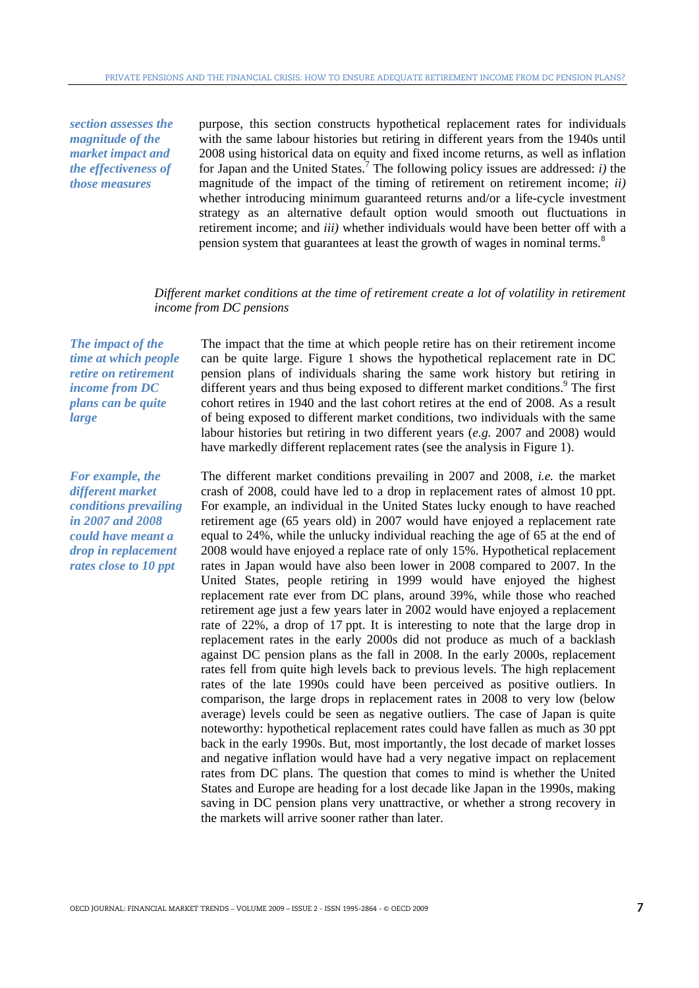*section assesses the magnitude of the market impact and the effectiveness of those measures* 

purpose, this section constructs hypothetical replacement rates for individuals with the same labour histories but retiring in different years from the 1940s until 2008 using historical data on equity and fixed income returns, as well as inflation for Japan and the United States.<sup>7</sup> The following policy issues are addressed:  $i$ ) the magnitude of the impact of the timing of retirement on retirement income; *ii)* whether introducing minimum guaranteed returns and/or a life-cycle investment strategy as an alternative default option would smooth out fluctuations in retirement income; and *iii)* whether individuals would have been better off with a pension system that guarantees at least the growth of wages in nominal terms.<sup>8</sup>

# *Different market conditions at the time of retirement create a lot of volatility in retirement income from DC pensions*

*The impact of the time at which people retire on retirement income from DC plans can be quite large* 

*For example, the different market conditions prevailing in 2007 and 2008 could have meant a drop in replacement rates close to 10 ppt*

The impact that the time at which people retire has on their retirement income can be quite large. Figure 1 shows the hypothetical replacement rate in DC pension plans of individuals sharing the same work history but retiring in different years and thus being exposed to different market conditions.<sup>9</sup> The first cohort retires in 1940 and the last cohort retires at the end of 2008. As a result of being exposed to different market conditions, two individuals with the same labour histories but retiring in two different years (*e.g.* 2007 and 2008) would have markedly different replacement rates (see the analysis in Figure 1).

The different market conditions prevailing in 2007 and 2008, *i.e.* the market crash of 2008, could have led to a drop in replacement rates of almost 10 ppt. For example, an individual in the United States lucky enough to have reached retirement age (65 years old) in 2007 would have enjoyed a replacement rate equal to 24%, while the unlucky individual reaching the age of 65 at the end of 2008 would have enjoyed a replace rate of only 15%. Hypothetical replacement rates in Japan would have also been lower in 2008 compared to 2007. In the United States, people retiring in 1999 would have enjoyed the highest replacement rate ever from DC plans, around 39%, while those who reached retirement age just a few years later in 2002 would have enjoyed a replacement rate of 22%, a drop of 17 ppt. It is interesting to note that the large drop in replacement rates in the early 2000s did not produce as much of a backlash against DC pension plans as the fall in 2008. In the early 2000s, replacement rates fell from quite high levels back to previous levels. The high replacement rates of the late 1990s could have been perceived as positive outliers. In comparison, the large drops in replacement rates in 2008 to very low (below average) levels could be seen as negative outliers. The case of Japan is quite noteworthy: hypothetical replacement rates could have fallen as much as 30 ppt back in the early 1990s. But, most importantly, the lost decade of market losses and negative inflation would have had a very negative impact on replacement rates from DC plans. The question that comes to mind is whether the United States and Europe are heading for a lost decade like Japan in the 1990s, making saving in DC pension plans very unattractive, or whether a strong recovery in the markets will arrive sooner rather than later.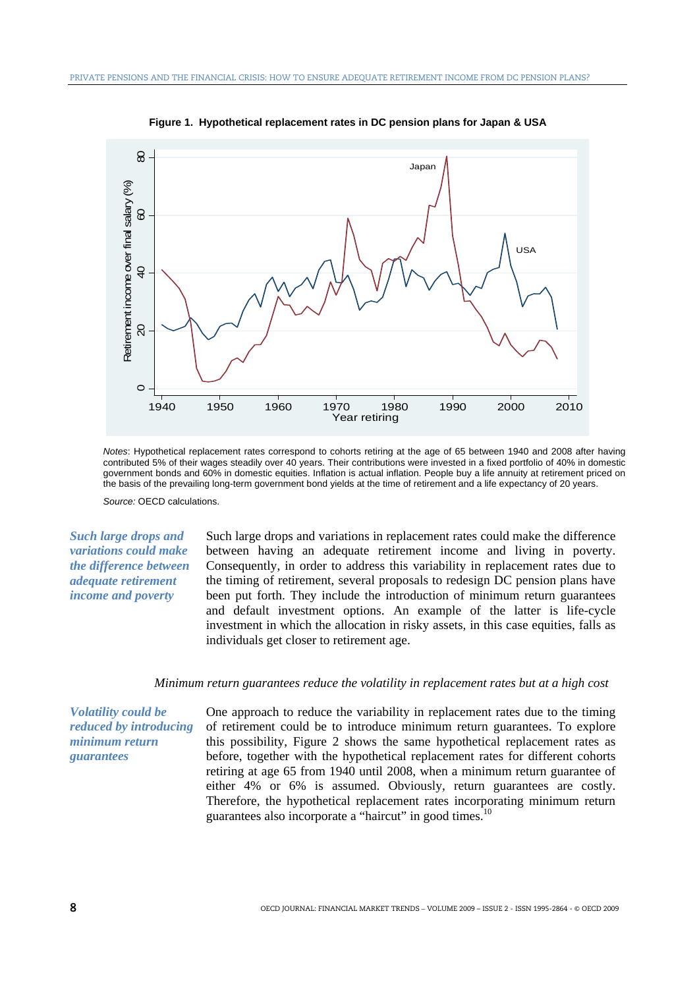

**Figure 1. Hypothetical replacement rates in DC pension plans for Japan & USA** 

*Notes*: Hypothetical replacement rates correspond to cohorts retiring at the age of 65 between 1940 and 2008 after having contributed 5% of their wages steadily over 40 years. Their contributions were invested in a fixed portfolio of 40% in domestic government bonds and 60% in domestic equities. Inflation is actual inflation. People buy a life annuity at retirement priced on the basis of the prevailing long-term government bond yields at the time of retirement and a life expectancy of 20 years.

*Source:* OECD calculations.

*Such large drops and variations could make the difference between adequate retirement income and poverty*

Such large drops and variations in replacement rates could make the difference between having an adequate retirement income and living in poverty. Consequently, in order to address this variability in replacement rates due to the timing of retirement, several proposals to redesign DC pension plans have been put forth. They include the introduction of minimum return guarantees and default investment options. An example of the latter is life-cycle investment in which the allocation in risky assets, in this case equities, falls as individuals get closer to retirement age.

#### *Minimum return guarantees reduce the volatility in replacement rates but at a high cost*

*Volatility could be reduced by introducing minimum return guarantees* 

One approach to reduce the variability in replacement rates due to the timing of retirement could be to introduce minimum return guarantees. To explore this possibility, Figure 2 shows the same hypothetical replacement rates as before, together with the hypothetical replacement rates for different cohorts retiring at age 65 from 1940 until 2008, when a minimum return guarantee of either 4% or 6% is assumed. Obviously, return guarantees are costly. Therefore, the hypothetical replacement rates incorporating minimum return guarantees also incorporate a "haircut" in good times.<sup>10</sup>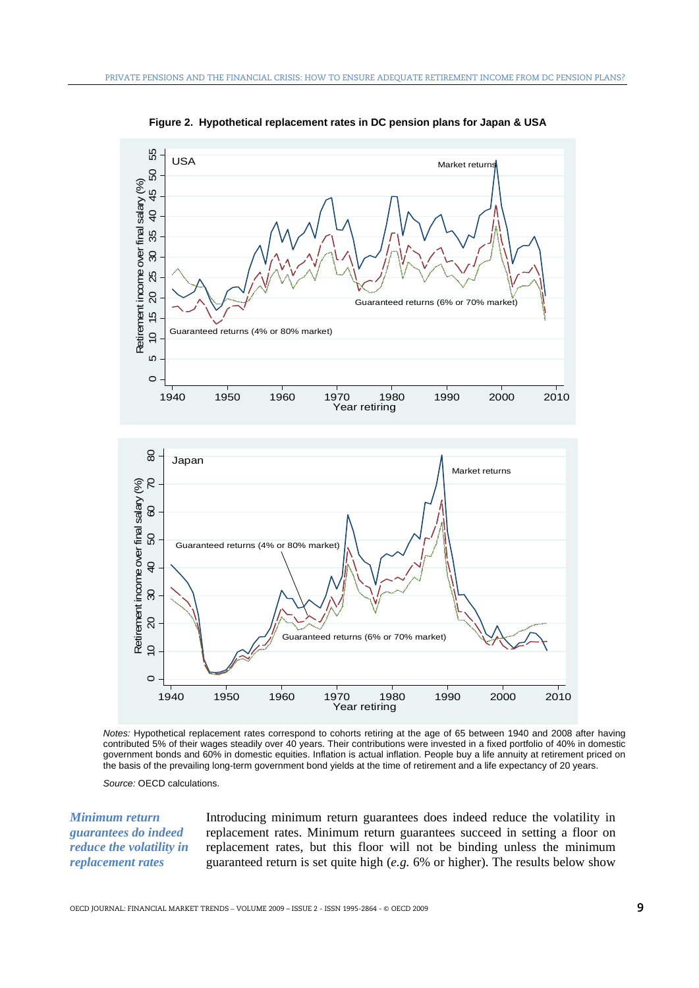

**Figure 2. Hypothetical replacement rates in DC pension plans for Japan & USA** 

*Notes:* Hypothetical replacement rates correspond to cohorts retiring at the age of 65 between 1940 and 2008 after having contributed 5% of their wages steadily over 40 years. Their contributions were invested in a fixed portfolio of 40% in domestic government bonds and 60% in domestic equities. Inflation is actual inflation. People buy a life annuity at retirement priced on the basis of the prevailing long-term government bond yields at the time of retirement and a life expectancy of 20 years.

*Source:* OECD calculations.

*Minimum return guarantees do indeed reduce the volatility in replacement rates*

Introducing minimum return guarantees does indeed reduce the volatility in replacement rates. Minimum return guarantees succeed in setting a floor on replacement rates, but this floor will not be binding unless the minimum guaranteed return is set quite high (*e.g.* 6% or higher). The results below show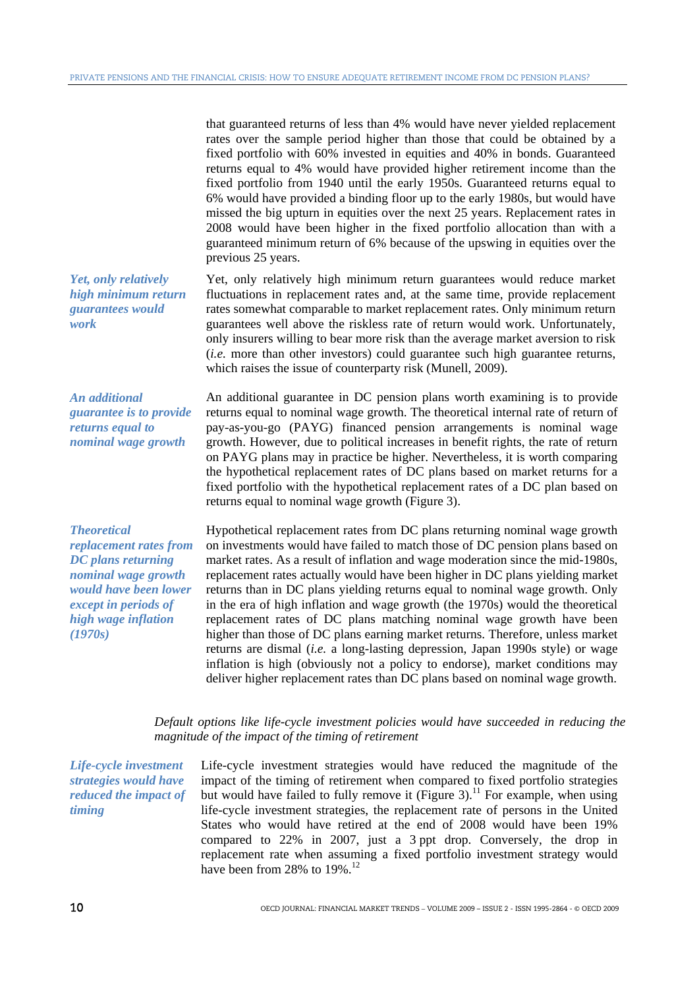that guaranteed returns of less than 4% would have never yielded replacement rates over the sample period higher than those that could be obtained by a fixed portfolio with 60% invested in equities and 40% in bonds. Guaranteed returns equal to 4% would have provided higher retirement income than the fixed portfolio from 1940 until the early 1950s. Guaranteed returns equal to 6% would have provided a binding floor up to the early 1980s, but would have missed the big upturn in equities over the next 25 years. Replacement rates in 2008 would have been higher in the fixed portfolio allocation than with a guaranteed minimum return of 6% because of the upswing in equities over the previous 25 years.

Yet, only relatively high minimum return guarantees would reduce market fluctuations in replacement rates and, at the same time, provide replacement rates somewhat comparable to market replacement rates. Only minimum return guarantees well above the riskless rate of return would work. Unfortunately, only insurers willing to bear more risk than the average market aversion to risk (*i.e.* more than other investors) could guarantee such high guarantee returns,

*Yet, only relatively high minimum return guarantees would work* 

*An additional guarantee is to provide returns equal to nominal wage growth* 

*Theoretical replacement rates from DC plans returning nominal wage growth would have been lower except in periods of high wage inflation (1970s)* 

An additional guarantee in DC pension plans worth examining is to provide returns equal to nominal wage growth. The theoretical internal rate of return of pay-as-you-go (PAYG) financed pension arrangements is nominal wage growth. However, due to political increases in benefit rights, the rate of return on PAYG plans may in practice be higher. Nevertheless, it is worth comparing the hypothetical replacement rates of DC plans based on market returns for a fixed portfolio with the hypothetical replacement rates of a DC plan based on returns equal to nominal wage growth (Figure 3).

which raises the issue of counterparty risk (Munell, 2009).

Hypothetical replacement rates from DC plans returning nominal wage growth on investments would have failed to match those of DC pension plans based on market rates. As a result of inflation and wage moderation since the mid-1980s, replacement rates actually would have been higher in DC plans yielding market returns than in DC plans yielding returns equal to nominal wage growth. Only in the era of high inflation and wage growth (the 1970s) would the theoretical replacement rates of DC plans matching nominal wage growth have been higher than those of DC plans earning market returns. Therefore, unless market returns are dismal (*i.e.* a long-lasting depression, Japan 1990s style) or wage inflation is high (obviously not a policy to endorse), market conditions may deliver higher replacement rates than DC plans based on nominal wage growth.

*Default options like life-cycle investment policies would have succeeded in reducing the magnitude of the impact of the timing of retirement* 

*Life-cycle investment strategies would have reduced the impact of timing*

Life-cycle investment strategies would have reduced the magnitude of the impact of the timing of retirement when compared to fixed portfolio strategies but would have failed to fully remove it (Figure 3).<sup>11</sup> For example, when using life-cycle investment strategies, the replacement rate of persons in the United States who would have retired at the end of 2008 would have been 19% compared to 22% in 2007, just a 3 ppt drop. Conversely, the drop in replacement rate when assuming a fixed portfolio investment strategy would have been from 28% to 19%.<sup>12</sup>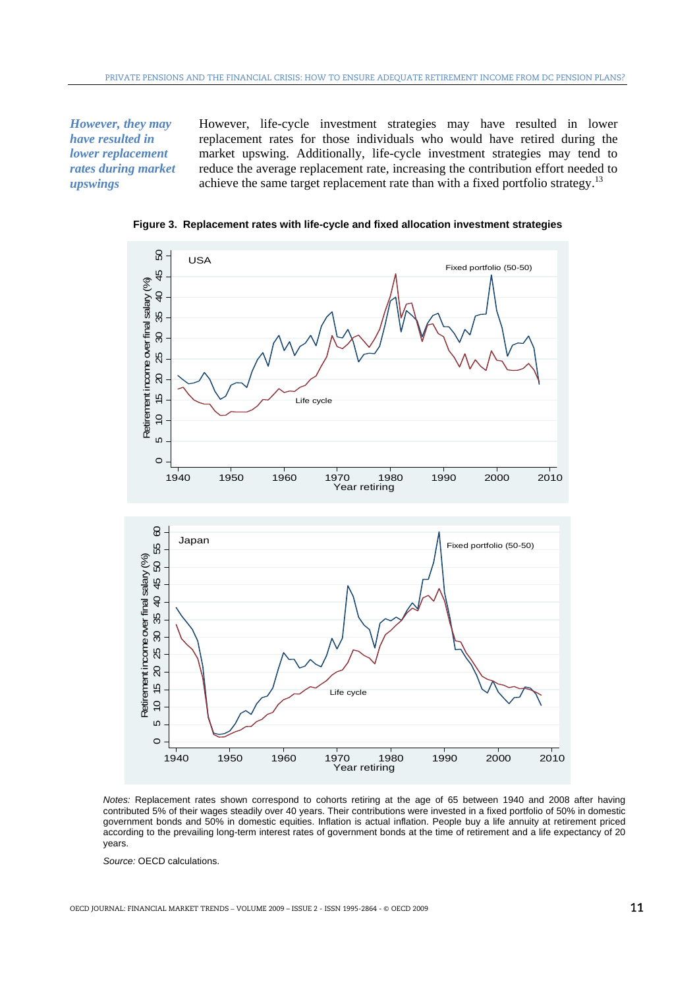*However, they may have resulted in lower replacement rates during market upswings* 

However, life-cycle investment strategies may have resulted in lower replacement rates for those individuals who would have retired during the market upswing. Additionally, life-cycle investment strategies may tend to reduce the average replacement rate, increasing the contribution effort needed to achieve the same target replacement rate than with a fixed portfolio strategy.<sup>13</sup>



**Figure 3. Replacement rates with life-cycle and fixed allocation investment strategies** 

*Source:* OECD calculations.

*Notes:* Replacement rates shown correspond to cohorts retiring at the age of 65 between 1940 and 2008 after having contributed 5% of their wages steadily over 40 years. Their contributions were invested in a fixed portfolio of 50% in domestic government bonds and 50% in domestic equities. Inflation is actual inflation. People buy a life annuity at retirement priced according to the prevailing long-term interest rates of government bonds at the time of retirement and a life expectancy of 20 years.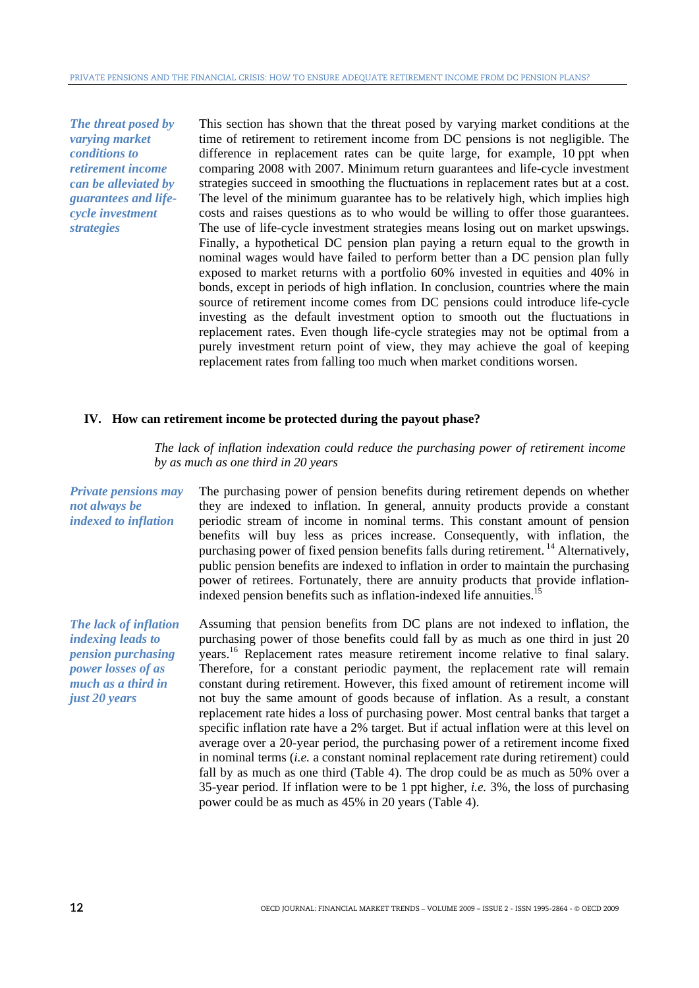*The threat posed by varying market conditions to retirement income can be alleviated by guarantees and lifecycle investment strategies* 

This section has shown that the threat posed by varying market conditions at the time of retirement to retirement income from DC pensions is not negligible. The difference in replacement rates can be quite large, for example, 10 ppt when comparing 2008 with 2007. Minimum return guarantees and life-cycle investment strategies succeed in smoothing the fluctuations in replacement rates but at a cost. The level of the minimum guarantee has to be relatively high, which implies high costs and raises questions as to who would be willing to offer those guarantees. The use of life-cycle investment strategies means losing out on market upswings. Finally, a hypothetical DC pension plan paying a return equal to the growth in nominal wages would have failed to perform better than a DC pension plan fully exposed to market returns with a portfolio 60% invested in equities and 40% in bonds, except in periods of high inflation. In conclusion, countries where the main source of retirement income comes from DC pensions could introduce life-cycle investing as the default investment option to smooth out the fluctuations in replacement rates. Even though life-cycle strategies may not be optimal from a purely investment return point of view, they may achieve the goal of keeping replacement rates from falling too much when market conditions worsen.

## **IV. How can retirement income be protected during the payout phase?**

*The lack of inflation indexation could reduce the purchasing power of retirement income by as much as one third in 20 years*

*Private pensions may not always be indexed to inflation*  The purchasing power of pension benefits during retirement depends on whether they are indexed to inflation. In general, annuity products provide a constant periodic stream of income in nominal terms. This constant amount of pension benefits will buy less as prices increase. Consequently, with inflation, the purchasing power of fixed pension benefits falls during retirement. 14 Alternatively, public pension benefits are indexed to inflation in order to maintain the purchasing power of retirees. Fortunately, there are annuity products that provide inflationindexed pension benefits such as inflation-indexed life annuities.<sup>1</sup> *The lack of inflation indexing leads to pension purchasing power losses of as much as a third in just 20 years*  Assuming that pension benefits from DC plans are not indexed to inflation, the purchasing power of those benefits could fall by as much as one third in just 20 years.16 Replacement rates measure retirement income relative to final salary. Therefore, for a constant periodic payment, the replacement rate will remain constant during retirement. However, this fixed amount of retirement income will not buy the same amount of goods because of inflation. As a result, a constant replacement rate hides a loss of purchasing power. Most central banks that target a specific inflation rate have a 2% target. But if actual inflation were at this level on average over a 20-year period, the purchasing power of a retirement income fixed in nominal terms (*i.e.* a constant nominal replacement rate during retirement) could fall by as much as one third (Table 4). The drop could be as much as 50% over a 35-year period. If inflation were to be 1 ppt higher, *i.e.* 3%, the loss of purchasing power could be as much as 45% in 20 years (Table 4).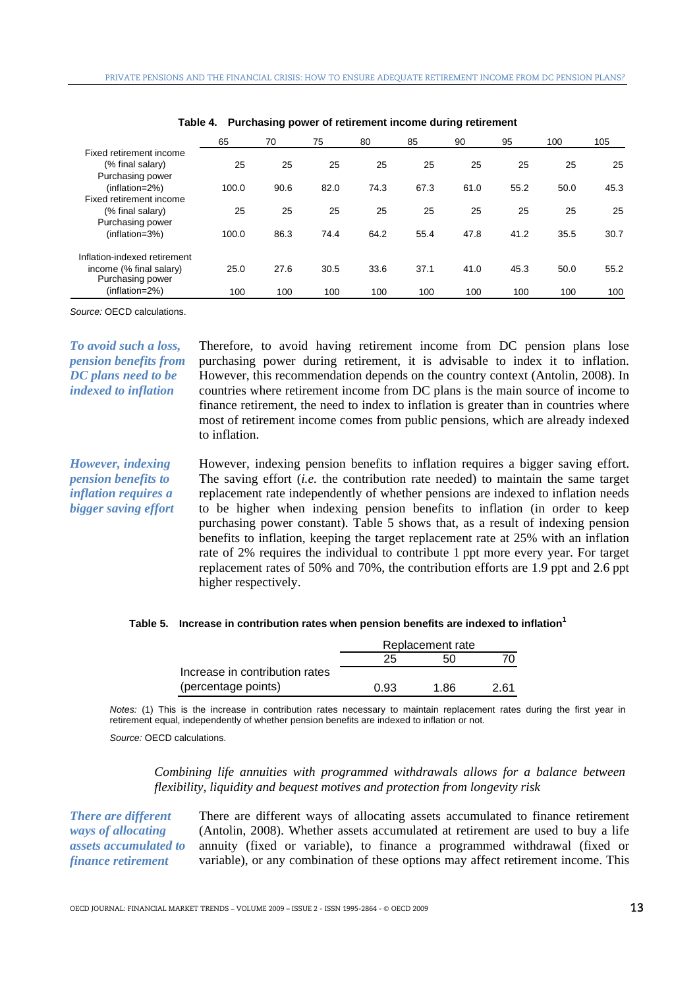|                                                               | 65    | 70   | 75   | 80   | 85   | 90   | 95   | 100  | 105  |
|---------------------------------------------------------------|-------|------|------|------|------|------|------|------|------|
| Fixed retirement income<br>(% final salary)                   | 25    | 25   | 25   | 25   | 25   | 25   | 25   | 25   | 25   |
| Purchasing power<br>(inflation=2%)<br>Fixed retirement income | 100.0 | 90.6 | 82.0 | 74.3 | 67.3 | 61.0 | 55.2 | 50.0 | 45.3 |
| (% final salary)<br>Purchasing power                          | 25    | 25   | 25   | 25   | 25   | 25   | 25   | 25   | 25   |
| (inflation=3%)                                                | 100.0 | 86.3 | 74.4 | 64.2 | 55.4 | 47.8 | 41.2 | 35.5 | 30.7 |
| Inflation-indexed retirement                                  |       |      |      |      |      |      |      |      |      |
| income (% final salary)<br>Purchasing power                   | 25.0  | 27.6 | 30.5 | 33.6 | 37.1 | 41.0 | 45.3 | 50.0 | 55.2 |
| (inflation=2%)                                                | 100   | 100  | 100  | 100  | 100  | 100  | 100  | 100  | 100  |

|  | Table 4. Purchasing power of retirement income during retirement |  |  |  |
|--|------------------------------------------------------------------|--|--|--|
|--|------------------------------------------------------------------|--|--|--|

*Source:* OECD calculations.

*To avoid such a loss, pension benefits from DC plans need to be indexed to inflation* 

Therefore, to avoid having retirement income from DC pension plans lose purchasing power during retirement, it is advisable to index it to inflation. However, this recommendation depends on the country context (Antolin, 2008). In countries where retirement income from DC plans is the main source of income to finance retirement, the need to index to inflation is greater than in countries where most of retirement income comes from public pensions, which are already indexed to inflation.

*However, indexing pension benefits to inflation requires a bigger saving effort*  However, indexing pension benefits to inflation requires a bigger saving effort. The saving effort (*i.e.* the contribution rate needed) to maintain the same target replacement rate independently of whether pensions are indexed to inflation needs to be higher when indexing pension benefits to inflation (in order to keep purchasing power constant). Table 5 shows that, as a result of indexing pension benefits to inflation, keeping the target replacement rate at 25% with an inflation rate of 2% requires the individual to contribute 1 ppt more every year. For target replacement rates of 50% and 70%, the contribution efforts are 1.9 ppt and 2.6 ppt higher respectively.

#### Table 5. Increase in contribution rates when pension benefits are indexed to inflation<sup>1</sup>

|                                | Replacement rate |      |      |  |  |
|--------------------------------|------------------|------|------|--|--|
|                                | 25               | 50   |      |  |  |
| Increase in contribution rates |                  |      |      |  |  |
| (percentage points)            | 0.93             | 1.86 | 2 61 |  |  |

*Notes:* (1) This is the increase in contribution rates necessary to maintain replacement rates during the first year in retirement equal, independently of whether pension benefits are indexed to inflation or not.

*Source:* OECD calculations.

*Combining life annuities with programmed withdrawals allows for a balance between flexibility, liquidity and bequest motives and protection from longevity risk*

*There are different ways of allocating assets accumulated to finance retirement* 

There are different ways of allocating assets accumulated to finance retirement (Antolin, 2008). Whether assets accumulated at retirement are used to buy a life annuity (fixed or variable), to finance a programmed withdrawal (fixed or variable), or any combination of these options may affect retirement income. This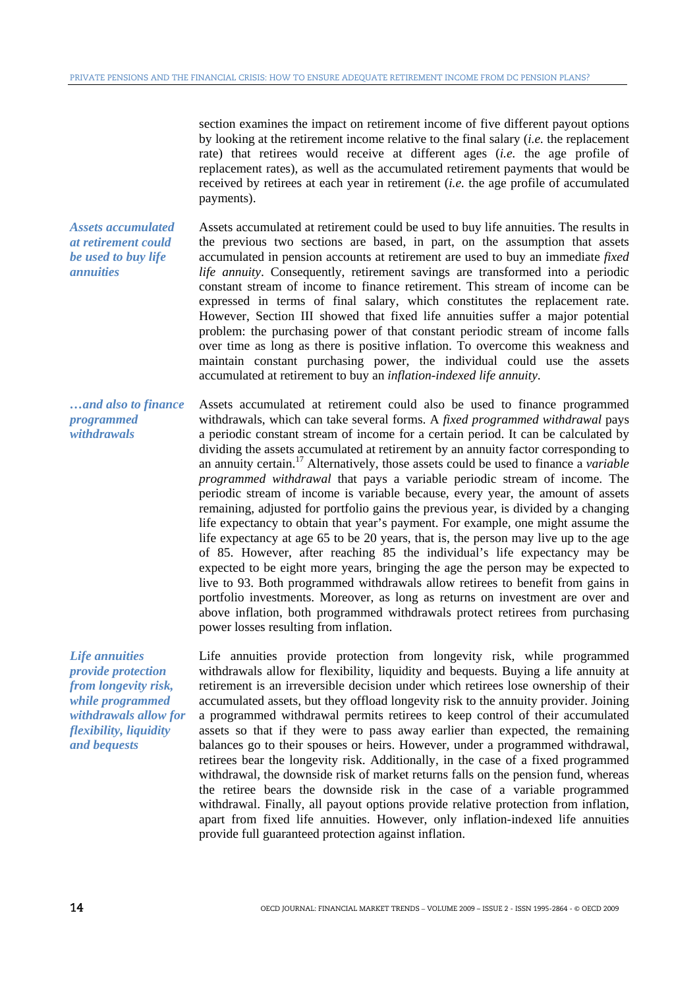section examines the impact on retirement income of five different payout options by looking at the retirement income relative to the final salary (*i.e.* the replacement rate) that retirees would receive at different ages (*i.e.* the age profile of replacement rates), as well as the accumulated retirement payments that would be received by retirees at each year in retirement (*i.e.* the age profile of accumulated payments).

*Assets accumulated at retirement could be used to buy life annuities*  Assets accumulated at retirement could be used to buy life annuities. The results in the previous two sections are based, in part, on the assumption that assets accumulated in pension accounts at retirement are used to buy an immediate *fixed life annuity*. Consequently, retirement savings are transformed into a periodic constant stream of income to finance retirement. This stream of income can be expressed in terms of final salary, which constitutes the replacement rate. However, Section III showed that fixed life annuities suffer a major potential problem: the purchasing power of that constant periodic stream of income falls over time as long as there is positive inflation. To overcome this weakness and maintain constant purchasing power, the individual could use the assets accumulated at retirement to buy an *inflation-indexed life annuity*.

*…and also to finance programmed withdrawals*  Assets accumulated at retirement could also be used to finance programmed withdrawals, which can take several forms. A *fixed programmed withdrawal* pays a periodic constant stream of income for a certain period. It can be calculated by dividing the assets accumulated at retirement by an annuity factor corresponding to an annuity certain.17 Alternatively, those assets could be used to finance a *variable programmed withdrawal* that pays a variable periodic stream of income. The periodic stream of income is variable because, every year, the amount of assets remaining, adjusted for portfolio gains the previous year, is divided by a changing life expectancy to obtain that year's payment. For example, one might assume the life expectancy at age 65 to be 20 years, that is, the person may live up to the age of 85. However, after reaching 85 the individual's life expectancy may be expected to be eight more years, bringing the age the person may be expected to live to 93. Both programmed withdrawals allow retirees to benefit from gains in portfolio investments. Moreover, as long as returns on investment are over and above inflation, both programmed withdrawals protect retirees from purchasing power losses resulting from inflation.

*Life annuities provide protection from longevity risk, while programmed withdrawals allow for flexibility, liquidity and bequests* 

Life annuities provide protection from longevity risk, while programmed withdrawals allow for flexibility, liquidity and bequests. Buying a life annuity at retirement is an irreversible decision under which retirees lose ownership of their accumulated assets, but they offload longevity risk to the annuity provider. Joining a programmed withdrawal permits retirees to keep control of their accumulated assets so that if they were to pass away earlier than expected, the remaining balances go to their spouses or heirs. However, under a programmed withdrawal, retirees bear the longevity risk. Additionally, in the case of a fixed programmed withdrawal, the downside risk of market returns falls on the pension fund, whereas the retiree bears the downside risk in the case of a variable programmed withdrawal. Finally, all payout options provide relative protection from inflation, apart from fixed life annuities. However, only inflation-indexed life annuities provide full guaranteed protection against inflation.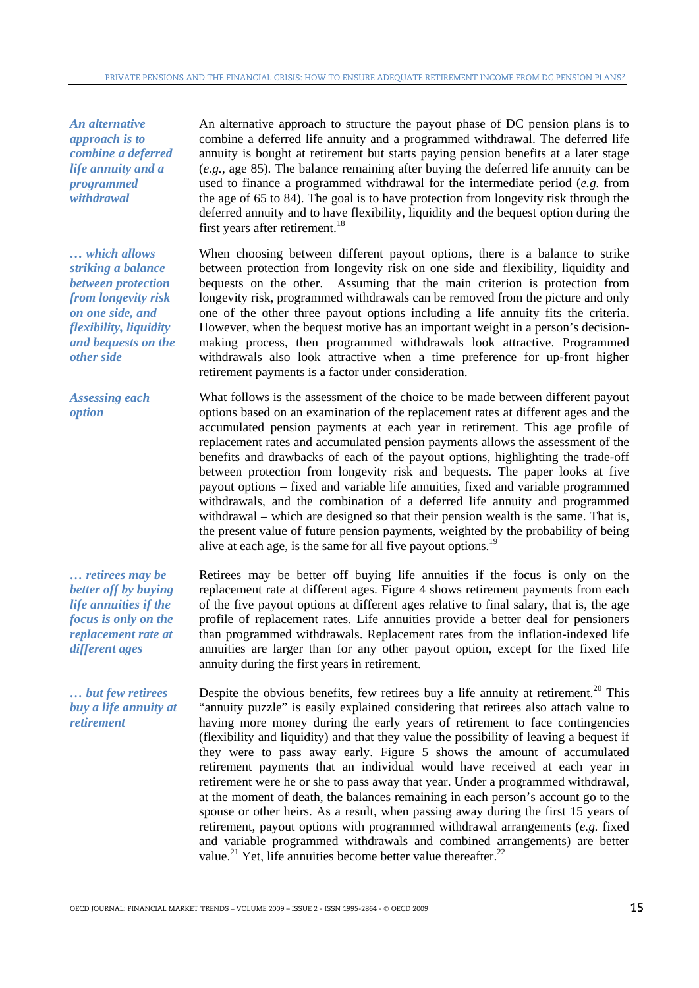*An alternative approach is to combine a deferred life annuity and a programmed withdrawal* 

*… which allows striking a balance between protection from longevity risk on one side, and flexibility, liquidity and bequests on the other side* 

*Assessing each option* 

*… retirees may be better off by buying life annuities if the focus is only on the replacement rate at different ages* 

*… but few retirees buy a life annuity at retirement* 

An alternative approach to structure the payout phase of DC pension plans is to combine a deferred life annuity and a programmed withdrawal. The deferred life annuity is bought at retirement but starts paying pension benefits at a later stage (*e.g.,* age 85). The balance remaining after buying the deferred life annuity can be used to finance a programmed withdrawal for the intermediate period (*e.g.* from the age of 65 to 84). The goal is to have protection from longevity risk through the deferred annuity and to have flexibility, liquidity and the bequest option during the first years after retirement.<sup>18</sup>

When choosing between different payout options, there is a balance to strike between protection from longevity risk on one side and flexibility, liquidity and bequests on the other. Assuming that the main criterion is protection from longevity risk, programmed withdrawals can be removed from the picture and only one of the other three payout options including a life annuity fits the criteria. However, when the bequest motive has an important weight in a person's decisionmaking process, then programmed withdrawals look attractive. Programmed withdrawals also look attractive when a time preference for up-front higher retirement payments is a factor under consideration.

What follows is the assessment of the choice to be made between different payout options based on an examination of the replacement rates at different ages and the accumulated pension payments at each year in retirement. This age profile of replacement rates and accumulated pension payments allows the assessment of the benefits and drawbacks of each of the payout options, highlighting the trade-off between protection from longevity risk and bequests. The paper looks at five payout options – fixed and variable life annuities, fixed and variable programmed withdrawals, and the combination of a deferred life annuity and programmed withdrawal – which are designed so that their pension wealth is the same. That is, the present value of future pension payments, weighted by the probability of being alive at each age, is the same for all five payout options.<sup>19</sup>

Retirees may be better off buying life annuities if the focus is only on the replacement rate at different ages. Figure 4 shows retirement payments from each of the five payout options at different ages relative to final salary, that is, the age profile of replacement rates. Life annuities provide a better deal for pensioners than programmed withdrawals. Replacement rates from the inflation-indexed life annuities are larger than for any other payout option, except for the fixed life annuity during the first years in retirement.

Despite the obvious benefits, few retirees buy a life annuity at retirement.<sup>20</sup> This "annuity puzzle" is easily explained considering that retirees also attach value to having more money during the early years of retirement to face contingencies (flexibility and liquidity) and that they value the possibility of leaving a bequest if they were to pass away early. Figure 5 shows the amount of accumulated retirement payments that an individual would have received at each year in retirement were he or she to pass away that year. Under a programmed withdrawal, at the moment of death, the balances remaining in each person's account go to the spouse or other heirs. As a result, when passing away during the first 15 years of retirement, payout options with programmed withdrawal arrangements (*e.g.* fixed and variable programmed withdrawals and combined arrangements) are better value.<sup>21</sup> Yet, life annuities become better value thereafter.<sup>22</sup>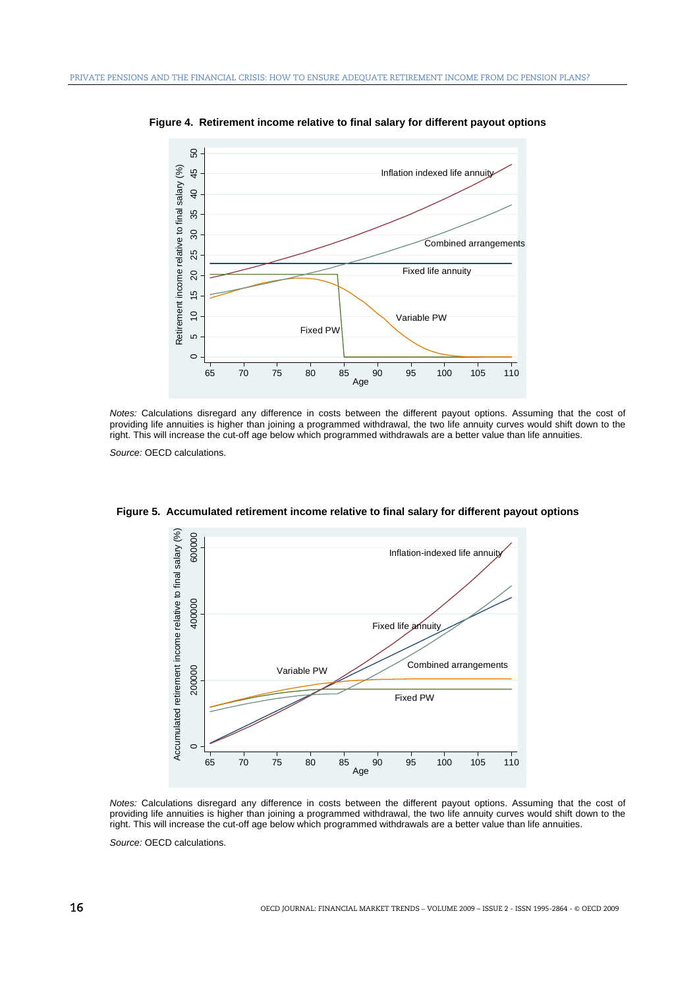

**Figure 4. Retirement income relative to final salary for different payout options** 

*Notes:* Calculations disregard any difference in costs between the different payout options. Assuming that the cost of providing life annuities is higher than joining a programmed withdrawal, the two life annuity curves would shift down to the right. This will increase the cut-off age below which programmed withdrawals are a better value than life annuities.

*Source:* OECD calculations.



**Figure 5. Accumulated retirement income relative to final salary for different payout options** 

*Notes:* Calculations disregard any difference in costs between the different payout options. Assuming that the cost of providing life annuities is higher than joining a programmed withdrawal, the two life annuity curves would shift down to the right. This will increase the cut-off age below which programmed withdrawals are a better value than life annuities.

*Source:* OECD calculations.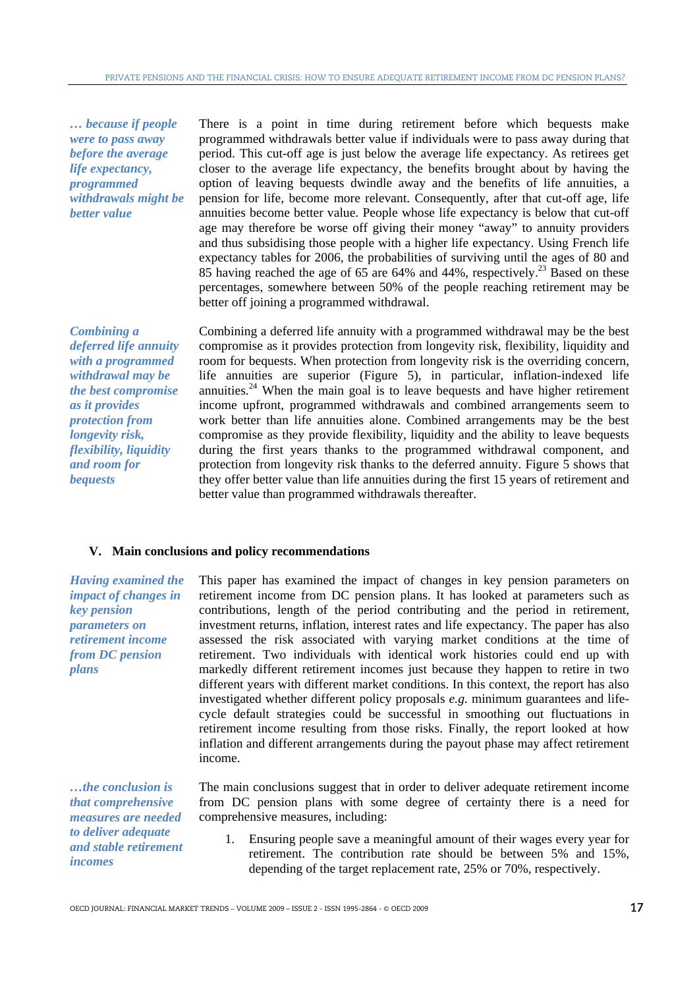*… because if people were to pass away before the average life expectancy, programmed withdrawals might be better value* 

There is a point in time during retirement before which bequests make programmed withdrawals better value if individuals were to pass away during that period. This cut-off age is just below the average life expectancy. As retirees get closer to the average life expectancy, the benefits brought about by having the option of leaving bequests dwindle away and the benefits of life annuities, a pension for life, become more relevant. Consequently, after that cut-off age, life annuities become better value. People whose life expectancy is below that cut-off age may therefore be worse off giving their money "away" to annuity providers and thus subsidising those people with a higher life expectancy. Using French life expectancy tables for 2006, the probabilities of surviving until the ages of 80 and 85 having reached the age of 65 are 64% and 44%, respectively.<sup>23</sup> Based on these percentages, somewhere between 50% of the people reaching retirement may be better off joining a programmed withdrawal.

*Combining a deferred life annuity with a programmed withdrawal may be the best compromise as it provides protection from longevity risk, flexibility, liquidity and room for bequests* 

Combining a deferred life annuity with a programmed withdrawal may be the best compromise as it provides protection from longevity risk, flexibility, liquidity and room for bequests. When protection from longevity risk is the overriding concern, life annuities are superior (Figure 5), in particular, inflation-indexed life annuities.<sup>24</sup> When the main goal is to leave bequests and have higher retirement income upfront, programmed withdrawals and combined arrangements seem to work better than life annuities alone. Combined arrangements may be the best compromise as they provide flexibility, liquidity and the ability to leave bequests during the first years thanks to the programmed withdrawal component, and protection from longevity risk thanks to the deferred annuity. Figure 5 shows that they offer better value than life annuities during the first 15 years of retirement and better value than programmed withdrawals thereafter.

# **V. Main conclusions and policy recommendations**

*Having examined the impact of changes in key pension parameters on retirement income from DC pension plans* 

This paper has examined the impact of changes in key pension parameters on retirement income from DC pension plans. It has looked at parameters such as contributions, length of the period contributing and the period in retirement, investment returns, inflation, interest rates and life expectancy. The paper has also assessed the risk associated with varying market conditions at the time of retirement. Two individuals with identical work histories could end up with markedly different retirement incomes just because they happen to retire in two different years with different market conditions. In this context, the report has also investigated whether different policy proposals *e.g.* minimum guarantees and lifecycle default strategies could be successful in smoothing out fluctuations in retirement income resulting from those risks. Finally, the report looked at how inflation and different arrangements during the payout phase may affect retirement income.

*…the conclusion is that comprehensive measures are needed to deliver adequate and stable retirement incomes* 

The main conclusions suggest that in order to deliver adequate retirement income from DC pension plans with some degree of certainty there is a need for comprehensive measures, including:

1. Ensuring people save a meaningful amount of their wages every year for retirement. The contribution rate should be between 5% and 15%, depending of the target replacement rate, 25% or 70%, respectively.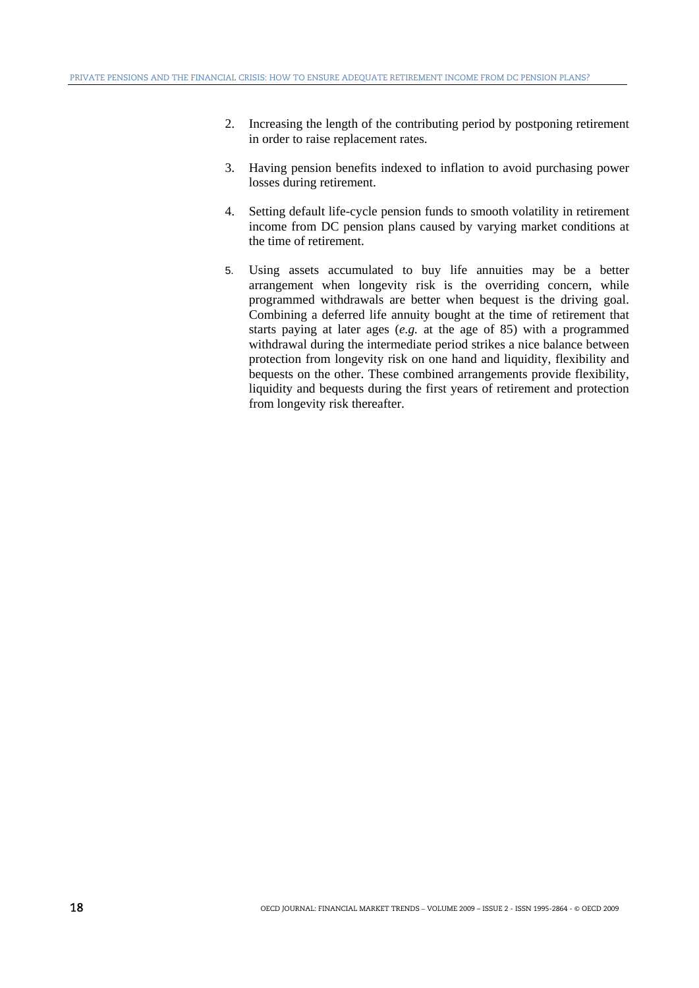- 2. Increasing the length of the contributing period by postponing retirement in order to raise replacement rates.
- 3. Having pension benefits indexed to inflation to avoid purchasing power losses during retirement.
- 4. Setting default life-cycle pension funds to smooth volatility in retirement income from DC pension plans caused by varying market conditions at the time of retirement.
- 5. Using assets accumulated to buy life annuities may be a better arrangement when longevity risk is the overriding concern, while programmed withdrawals are better when bequest is the driving goal. Combining a deferred life annuity bought at the time of retirement that starts paying at later ages (*e.g.* at the age of 85) with a programmed withdrawal during the intermediate period strikes a nice balance between protection from longevity risk on one hand and liquidity, flexibility and bequests on the other. These combined arrangements provide flexibility, liquidity and bequests during the first years of retirement and protection from longevity risk thereafter.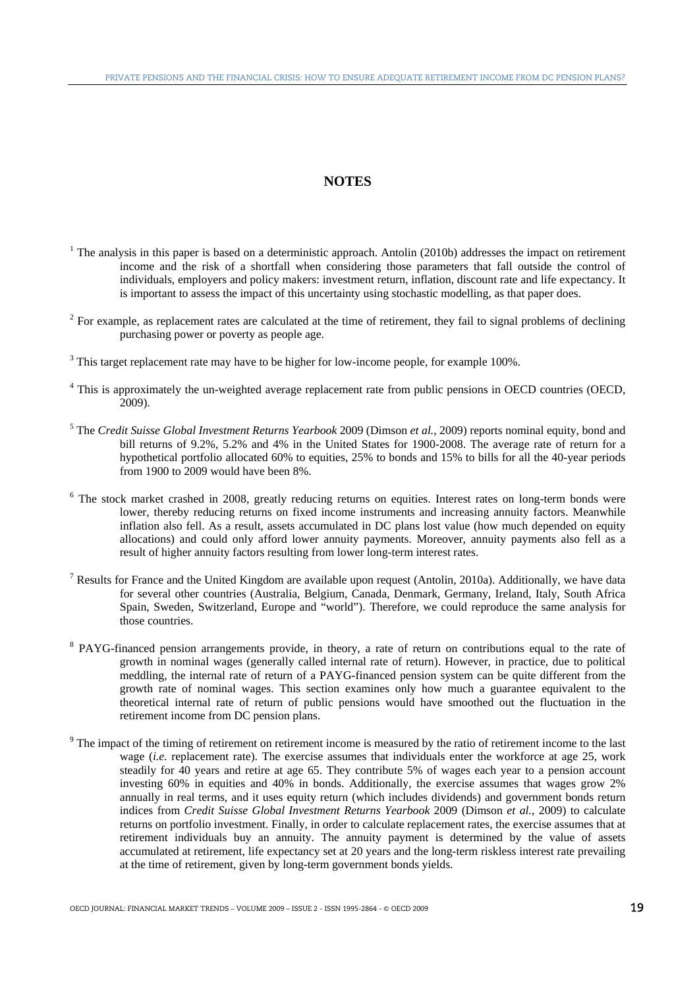# 3B**NOTES**

- $<sup>1</sup>$  The analysis in this paper is based on a deterministic approach. Antolin (2010b) addresses the impact on retirement</sup> income and the risk of a shortfall when considering those parameters that fall outside the control of individuals, employers and policy makers: investment return, inflation, discount rate and life expectancy. It is important to assess the impact of this uncertainty using stochastic modelling, as that paper does.
- $2^2$  For example, as replacement rates are calculated at the time of retirement, they fail to signal problems of declining purchasing power or poverty as people age.
- $3$  This target replacement rate may have to be higher for low-income people, for example 100%.
- <sup>4</sup> This is approximately the un-weighted average replacement rate from public pensions in OECD countries (OECD, 2009).
- 5 The *Credit Suisse Global Investment Returns Yearbook* 2009 (Dimson *et al.*, 2009) reports nominal equity, bond and bill returns of 9.2%, 5.2% and 4% in the United States for 1900-2008. The average rate of return for a hypothetical portfolio allocated 60% to equities, 25% to bonds and 15% to bills for all the 40-year periods from 1900 to 2009 would have been 8%.
- <sup>6</sup> The stock market crashed in 2008, greatly reducing returns on equities. Interest rates on long-term bonds were lower, thereby reducing returns on fixed income instruments and increasing annuity factors. Meanwhile inflation also fell. As a result, assets accumulated in DC plans lost value (how much depended on equity allocations) and could only afford lower annuity payments. Moreover, annuity payments also fell as a result of higher annuity factors resulting from lower long-term interest rates.
- <sup>7</sup> Results for France and the United Kingdom are available upon request (Antolin, 2010a). Additionally, we have data for several other countries (Australia, Belgium, Canada, Denmark, Germany, Ireland, Italy, South Africa Spain, Sweden, Switzerland, Europe and "world"). Therefore, we could reproduce the same analysis for those countries.
- <sup>8</sup> PAYG-financed pension arrangements provide, in theory, a rate of return on contributions equal to the rate of growth in nominal wages (generally called internal rate of return). However, in practice, due to political meddling, the internal rate of return of a PAYG-financed pension system can be quite different from the growth rate of nominal wages. This section examines only how much a guarantee equivalent to the theoretical internal rate of return of public pensions would have smoothed out the fluctuation in the retirement income from DC pension plans.
- $9<sup>9</sup>$  The impact of the timing of retirement on retirement income is measured by the ratio of retirement income to the last wage (*i.e.* replacement rate). The exercise assumes that individuals enter the workforce at age 25, work steadily for 40 years and retire at age 65. They contribute 5% of wages each year to a pension account investing 60% in equities and 40% in bonds. Additionally, the exercise assumes that wages grow 2% annually in real terms, and it uses equity return (which includes dividends) and government bonds return indices from *Credit Suisse Global Investment Returns Yearbook* 2009 (Dimson *et al.*, 2009) to calculate returns on portfolio investment. Finally, in order to calculate replacement rates, the exercise assumes that at retirement individuals buy an annuity. The annuity payment is determined by the value of assets accumulated at retirement, life expectancy set at 20 years and the long-term riskless interest rate prevailing at the time of retirement, given by long-term government bonds yields.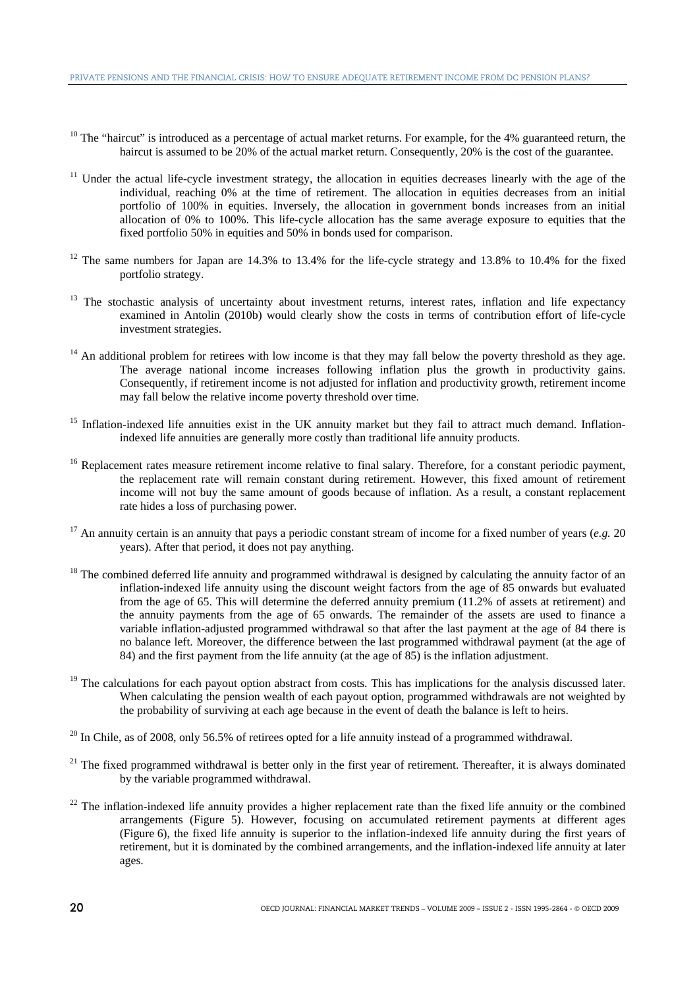- $10$  The "haircut" is introduced as a percentage of actual market returns. For example, for the 4% guaranteed return, the haircut is assumed to be 20% of the actual market return. Consequently, 20% is the cost of the guarantee.
- <sup>11</sup> Under the actual life-cycle investment strategy, the allocation in equities decreases linearly with the age of the individual, reaching 0% at the time of retirement. The allocation in equities decreases from an initial portfolio of 100% in equities. Inversely, the allocation in government bonds increases from an initial allocation of 0% to 100%. This life-cycle allocation has the same average exposure to equities that the fixed portfolio 50% in equities and 50% in bonds used for comparison.
- $12$  The same numbers for Japan are 14.3% to 13.4% for the life-cycle strategy and 13.8% to 10.4% for the fixed portfolio strategy.
- <sup>13</sup> The stochastic analysis of uncertainty about investment returns, interest rates, inflation and life expectancy examined in Antolin (2010b) would clearly show the costs in terms of contribution effort of life-cycle investment strategies.
- $14$  An additional problem for retirees with low income is that they may fall below the poverty threshold as they age. The average national income increases following inflation plus the growth in productivity gains. Consequently, if retirement income is not adjusted for inflation and productivity growth, retirement income may fall below the relative income poverty threshold over time.
- <sup>15</sup> Inflation-indexed life annuities exist in the UK annuity market but they fail to attract much demand. Inflationindexed life annuities are generally more costly than traditional life annuity products.
- <sup>16</sup> Replacement rates measure retirement income relative to final salary. Therefore, for a constant periodic payment, the replacement rate will remain constant during retirement. However, this fixed amount of retirement income will not buy the same amount of goods because of inflation. As a result, a constant replacement rate hides a loss of purchasing power.
- <sup>17</sup> An annuity certain is an annuity that pays a periodic constant stream of income for a fixed number of years (*e.g.* 20) years). After that period, it does not pay anything.
- $18$  The combined deferred life annuity and programmed withdrawal is designed by calculating the annuity factor of an inflation-indexed life annuity using the discount weight factors from the age of 85 onwards but evaluated from the age of 65. This will determine the deferred annuity premium (11.2% of assets at retirement) and the annuity payments from the age of 65 onwards. The remainder of the assets are used to finance a variable inflation-adjusted programmed withdrawal so that after the last payment at the age of 84 there is no balance left. Moreover, the difference between the last programmed withdrawal payment (at the age of 84) and the first payment from the life annuity (at the age of 85) is the inflation adjustment.
- <sup>19</sup> The calculations for each payout option abstract from costs. This has implications for the analysis discussed later. When calculating the pension wealth of each payout option, programmed withdrawals are not weighted by the probability of surviving at each age because in the event of death the balance is left to heirs.
- $^{20}$  In Chile, as of 2008, only 56.5% of retirees opted for a life annuity instead of a programmed withdrawal.
- $21$  The fixed programmed withdrawal is better only in the first year of retirement. Thereafter, it is always dominated by the variable programmed withdrawal.
- $22$  The inflation-indexed life annuity provides a higher replacement rate than the fixed life annuity or the combined arrangements (Figure 5). However, focusing on accumulated retirement payments at different ages (Figure 6), the fixed life annuity is superior to the inflation-indexed life annuity during the first years of retirement, but it is dominated by the combined arrangements, and the inflation-indexed life annuity at later ages.